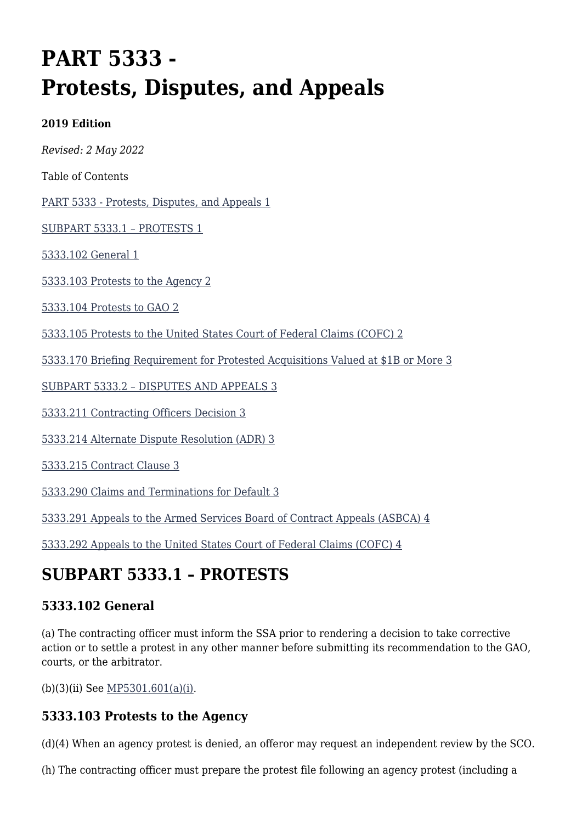# **PART 5333 - Protests, Disputes, and Appeals**

#### **2019 Edition**

*Revised: 2 May 2022*

Table of Contents

[PART 5333 - Protests, Disputes, and Appeals 1](#page--1-0)

[SUBPART 5333.1 – PROTESTS 1](#page--1-0)

[5333.102 General 1](#page--1-0)

[5333.103 Protests to the Agency 2](#page--1-0)

[5333.104 Protests to GAO 2](#page--1-0)

[5333.105 Protests to the United States Court of Federal Claims \(COFC\) 2](#page--1-0)

[5333.170 Briefing Requirement for Protested Acquisitions Valued at \\$1B or More 3](#page--1-0)

[SUBPART 5333.2 – DISPUTES AND APPEALS 3](#page--1-0)

[5333.211 Contracting Officers Decision 3](#page--1-0)

[5333.214 Alternate Dispute Resolution \(ADR\) 3](#page--1-0)

[5333.215 Contract Clause 3](#page--1-0)

[5333.290 Claims and Terminations for Default 3](#page--1-0)

[5333.291 Appeals to the Armed Services Board of Contract Appeals \(ASBCA\) 4](#page--1-0)

[5333.292 Appeals to the United States Court of Federal Claims \(COFC\) 4](#page--1-0)

### **SUBPART 5333.1 – PROTESTS**

### **5333.102 General**

(a) The contracting officer must inform the SSA prior to rendering a decision to take corrective action or to settle a protest in any other manner before submitting its recommendation to the GAO, courts, or the arbitrator.

(b)(3)(ii) See [MP5301.601\(a\)\(i\).](https://origin-www.acquisition.gov/%5Brp:link:affars-mp-AFFARS-MP_PART-mp_5301.601(a)(i)%5D#p5333102b3ii)

### **5333.103 Protests to the Agency**

(d)(4) When an agency protest is denied, an offeror may request an independent review by the SCO.

(h) The contracting officer must prepare the protest file following an agency protest (including a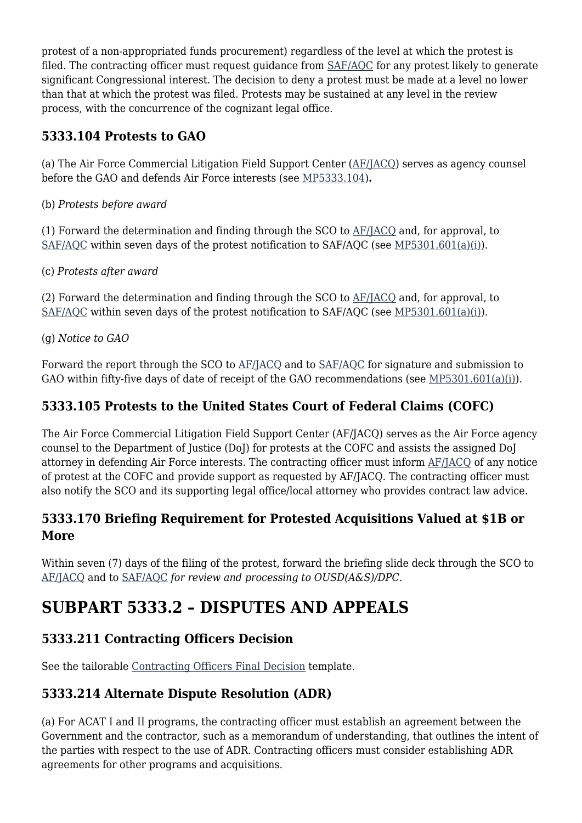protest of a non-appropriated funds procurement) regardless of the level at which the protest is filed. The contracting officer must request guidance from [SAF/AQC](mailto:SAF.AQ.SAF-AQC.Workflow@us.af.mil) for any protest likely to generate significant Congressional interest. The decision to deny a protest must be made at a level no lower than that at which the protest was filed. Protests may be sustained at any level in the review process, with the concurrence of the cognizant legal office.

### **5333.104 Protests to GAO**

(a) The Air Force Commercial Litigation Field Support Center ([AF/JACQ\)](mailto:AF.JACQ.ContractLaw.FieldSupportCntr.Mbx@us.af.mil) serves as agency counsel before the GAO and defends Air Force interests (see [MP5333.104](https://origin-www.acquisition.gov/%5Brp:link:affars-mp-AFFARS-MP_PART-mp_5333.104%5D))**.**

(b) *Protests before award*

(1) Forward the determination and finding through the SCO to [AF/JACQ](mailto:AF.JACQ.ContractLaw.FieldSupportCntr.Mbx@us.af.mil) and, for approval, to [SAF/AQC](mailto:SAF.AQ.SAF-AQC.Workflow@us.af.mil) within seven days of the protest notification to SAF/AQC (see [MP5301.601\(a\)\(i\)](https://origin-www.acquisition.gov/%5Brp:link:affars-mp-AFFARS-MP_PART-mp_5301.601(a)(i)%5D#p5333104b1)).

(c) *Protests after award*

(2) Forward the determination and finding through the SCO to [AF/JACQ](mailto:AF.JACQ.ContractLaw.FieldSupportCntr.Mbx@us.af.mil) and, for approval, to [SAF/AQC](mailto:SAF.AQ.SAF-AQC.Workflow@us.af.mil) within seven days of the protest notification to SAF/AQC (see [MP5301.601\(a\)\(i\)](https://origin-www.acquisition.gov/%5Brp:link:affars-mp-AFFARS-MP_PART-mp_5301.601(a)(i)%5D#p5333104c2)).

(g) *Notice to GAO*

Forward the report through the SCO to [AF/JACQ](mailto:AF.JACQ.ContractLaw.FieldSupportCntr.Mbx@us.af.mil) and to [SAF/AQC](mailto:SAF.AQ.SAF-AQC.Workflow@us.af.mil) for signature and submission to GAO within fifty-five days of date of receipt of the GAO recommendations (see [MP5301.601\(a\)\(i\)](https://origin-www.acquisition.gov/%5Brp:link:affars-mp-AFFARS-MP_PART-mp_5301.601(a)(i)%5D#p5333104g)).

### **5333.105 Protests to the United States Court of Federal Claims (COFC)**

The Air Force Commercial Litigation Field Support Center (AF/JACQ) serves as the Air Force agency counsel to the Department of Justice (DoJ) for protests at the COFC and assists the assigned DoJ attorney in defending Air Force interests. The contracting officer must inform [AF/JACQ](mailto:AF.JACQ.ContractLaw.FieldSupportCntr.Mbx@us.af.mil) of any notice of protest at the COFC and provide support as requested by AF/JACQ. The contracting officer must also notify the SCO and its supporting legal office/local attorney who provides contract law advice.

### **5333.170 Briefing Requirement for Protested Acquisitions Valued at \$1B or More**

Within seven (7) days of the filing of the protest, forward the briefing slide deck through the SCO to [AF/JACQ](mailto:AF.JACQ.ContractLaw.FieldSupportCntr.Mbx@us.af.mil) and to [SAF/AQC](mailto:SAF.AQ.SAF-AQC.Workflow@us.af.mil) *for review and processing to OUSD(A&S)/DPC.*

## **SUBPART 5333.2 – DISPUTES AND APPEALS**

### **5333.211 Contracting Officers Decision**

See the tailorable [Contracting Officers Final Decision](https://usaf.dps.mil/sites/AFCC/KnowledgeCenter/contracting_templates/CO_final_decision_on_claim_dispute.pdf) template.

### **5333.214 Alternate Dispute Resolution (ADR)**

(a) For ACAT I and II programs, the contracting officer must establish an agreement between the Government and the contractor, such as a memorandum of understanding, that outlines the intent of the parties with respect to the use of ADR. Contracting officers must consider establishing ADR agreements for other programs and acquisitions.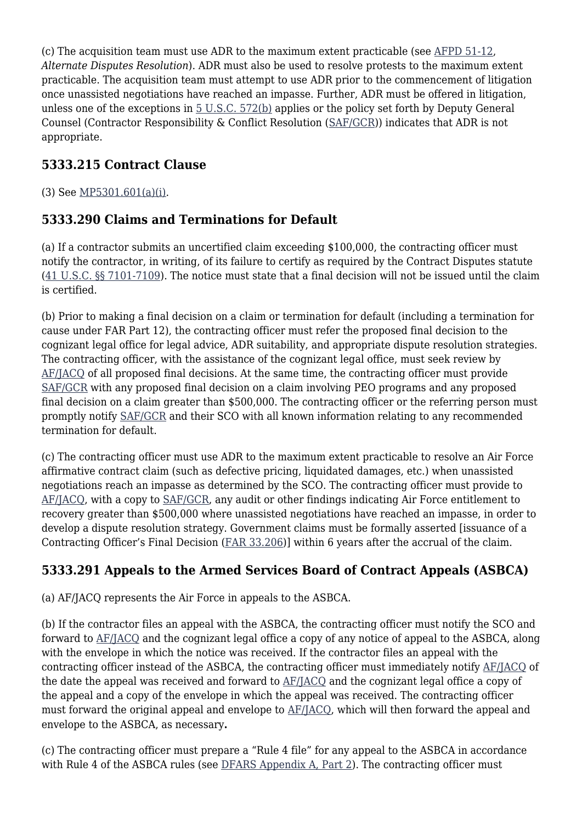(c) The acquisition team must use ADR to the maximum extent practicable (see [AFPD 51-12,](http://static.e-publishing.af.mil/production/1/af_a3_5/publication/afpd51-12/afpd51-12.pdf) *Alternate Disputes Resolution*). ADR must also be used to resolve protests to the maximum extent practicable. The acquisition team must attempt to use ADR prior to the commencement of litigation once unassisted negotiations have reached an impasse. Further, ADR must be offered in litigation, unless one of the exceptions in  $5$  U.S.C.  $572(b)$  applies or the policy set forth by Deputy General Counsel (Contractor Responsibility & Conflict Resolution [\(SAF/GCR\)](mailto:SAF.GCR.Workflow@us.af.mil)) indicates that ADR is not appropriate.

### **5333.215 Contract Clause**

(3) See [MP5301.601\(a\)\(i\).](https://origin-www.acquisition.gov/%5Brp:link:affars-mp-AFFARS-MP_PART-mp_5301.601(a)(i)%5D#p53332153)

### **5333.290 Claims and Terminations for Default**

(a) If a contractor submits an uncertified claim exceeding \$100,000, the contracting officer must notify the contractor, in writing, of its failure to certify as required by the Contract Disputes statute [\(41 U.S.C. §§ 7101-7109](http://uscode.house.gov/view.xhtml?req=(title:41%20chapter:71%20edition:prelim)%20OR%20(granuleid:USC-prelim-title41-chapter71)&f=treesort&num=0&edition=prelim)). The notice must state that a final decision will not be issued until the claim is certified.

(b) Prior to making a final decision on a claim or termination for default (including a termination for cause under FAR Part 12), the contracting officer must refer the proposed final decision to the cognizant legal office for legal advice, ADR suitability, and appropriate dispute resolution strategies. The contracting officer, with the assistance of the cognizant legal office, must seek review by [AF/JACQ](mailto:AF.JACQ.ContractLaw.FieldSupportCntr.Mbx@us.af.mil) of all proposed final decisions. At the same time, the contracting officer must provide [SAF/GCR](mailto:SAF.GCR.Workflow@us.af.mil) with any proposed final decision on a claim involving PEO programs and any proposed final decision on a claim greater than \$500,000. The contracting officer or the referring person must promptly notify [SAF/GCR](mailto:SAF.GCR.Workflow@us.af.mil) and their SCO with all known information relating to any recommended termination for default.

(c) The contracting officer must use ADR to the maximum extent practicable to resolve an Air Force affirmative contract claim (such as defective pricing, liquidated damages, etc.) when unassisted negotiations reach an impasse as determined by the SCO. The contracting officer must provide to [AF/JACQ,](mailto:AF.JACQ.ContractLaw.FieldSupportCntr.Mbx@us.af.mil) with a copy to [SAF/GCR,](mailto:SAF.GCR.Workflow@us.af.mil) any audit or other findings indicating Air Force entitlement to recovery greater than \$500,000 where unassisted negotiations have reached an impasse, in order to develop a dispute resolution strategy. Government claims must be formally asserted [issuance of a Contracting Officer's Final Decision [\(FAR 33.206\)](https://www.acquisition.gov/far/part-33#FAR_33_206)] within 6 years after the accrual of the claim.

### **5333.291 Appeals to the Armed Services Board of Contract Appeals (ASBCA)**

(a) AF/JACQ represents the Air Force in appeals to the ASBCA.

(b) If the contractor files an appeal with the ASBCA, the contracting officer must notify the SCO and forward to [AF/JACQ](mailto:AF.JACQ.ContractLaw.FieldSupportCntr.Mbx@us.af.mil) and the cognizant legal office a copy of any notice of appeal to the ASBCA, along with the envelope in which the notice was received. If the contractor files an appeal with the contracting officer instead of the ASBCA, the contracting officer must immediately notify [AF/JACQ](mailto:AF.JACQ.ContractLaw.FieldSupportCntr.Mbx@us.af.mil) of the date the appeal was received and forward to [AF/JACQ](mailto:AF.JACQ.ContractLaw.FieldSupportCntr.Mbx@us.af.mil) and the cognizant legal office a copy of the appeal and a copy of the envelope in which the appeal was received. The contracting officer must forward the original appeal and envelope to [AF/JACQ,](mailto:AF.JACQ.ContractLaw.FieldSupportCntr.Mbx@us.af.mil) which will then forward the appeal and envelope to the ASBCA, as necessary**.**

(c) The contracting officer must prepare a "Rule 4 file" for any appeal to the ASBCA in accordance with Rule 4 of the ASBCA rules (see [DFARS Appendix A, Part 2](https://www.acquisition.gov/dfars/appendix-%E2%80%94armed-services-board-contract-appeals#id2064F0Q30HS)). The contracting officer must